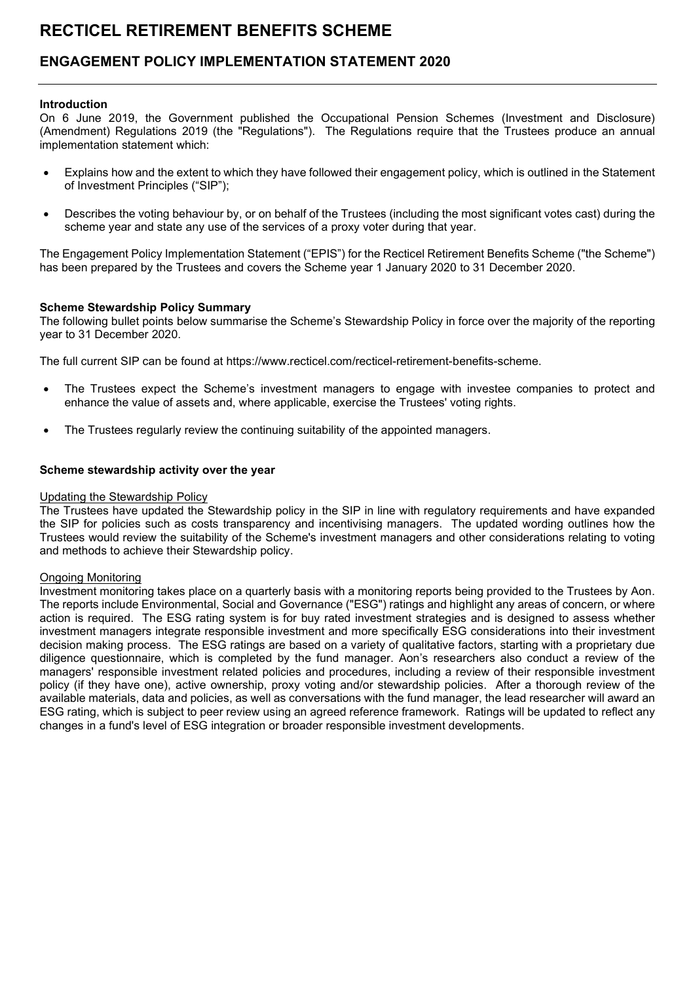## ENGAGEMENT POLICY IMPLEMENTATION STATEMENT 2020

#### Introduction

On 6 June 2019, the Government published the Occupational Pension Schemes (Investment and Disclosure) (Amendment) Regulations 2019 (the "Regulations"). The Regulations require that the Trustees produce an annual implementation statement which:

- Explains how and the extent to which they have followed their engagement policy, which is outlined in the Statement of Investment Principles ("SIP");
- Describes the voting behaviour by, or on behalf of the Trustees (including the most significant votes cast) during the scheme year and state any use of the services of a proxy voter during that year.

The Engagement Policy Implementation Statement ("EPIS") for the Recticel Retirement Benefits Scheme ("the Scheme") has been prepared by the Trustees and covers the Scheme year 1 January 2020 to 31 December 2020.

#### Scheme Stewardship Policy Summary

The following bullet points below summarise the Scheme's Stewardship Policy in force over the majority of the reporting year to 31 December 2020.

The full current SIP can be found at https://www.recticel.com/recticel-retirement-benefits-scheme.

- The Trustees expect the Scheme's investment managers to engage with investee companies to protect and enhance the value of assets and, where applicable, exercise the Trustees' voting rights.
- The Trustees regularly review the continuing suitability of the appointed managers.

#### Scheme stewardship activity over the year

#### Updating the Stewardship Policy

The Trustees have updated the Stewardship policy in the SIP in line with regulatory requirements and have expanded the SIP for policies such as costs transparency and incentivising managers. The updated wording outlines how the Trustees would review the suitability of the Scheme's investment managers and other considerations relating to voting and methods to achieve their Stewardship policy.

#### Ongoing Monitoring

Investment monitoring takes place on a quarterly basis with a monitoring reports being provided to the Trustees by Aon. The reports include Environmental, Social and Governance ("ESG") ratings and highlight any areas of concern, or where action is required. The ESG rating system is for buy rated investment strategies and is designed to assess whether investment managers integrate responsible investment and more specifically ESG considerations into their investment decision making process. The ESG ratings are based on a variety of qualitative factors, starting with a proprietary due diligence questionnaire, which is completed by the fund manager. Aon's researchers also conduct a review of the managers' responsible investment related policies and procedures, including a review of their responsible investment policy (if they have one), active ownership, proxy voting and/or stewardship policies. After a thorough review of the available materials, data and policies, as well as conversations with the fund manager, the lead researcher will award an ESG rating, which is subject to peer review using an agreed reference framework. Ratings will be updated to reflect any changes in a fund's level of ESG integration or broader responsible investment developments.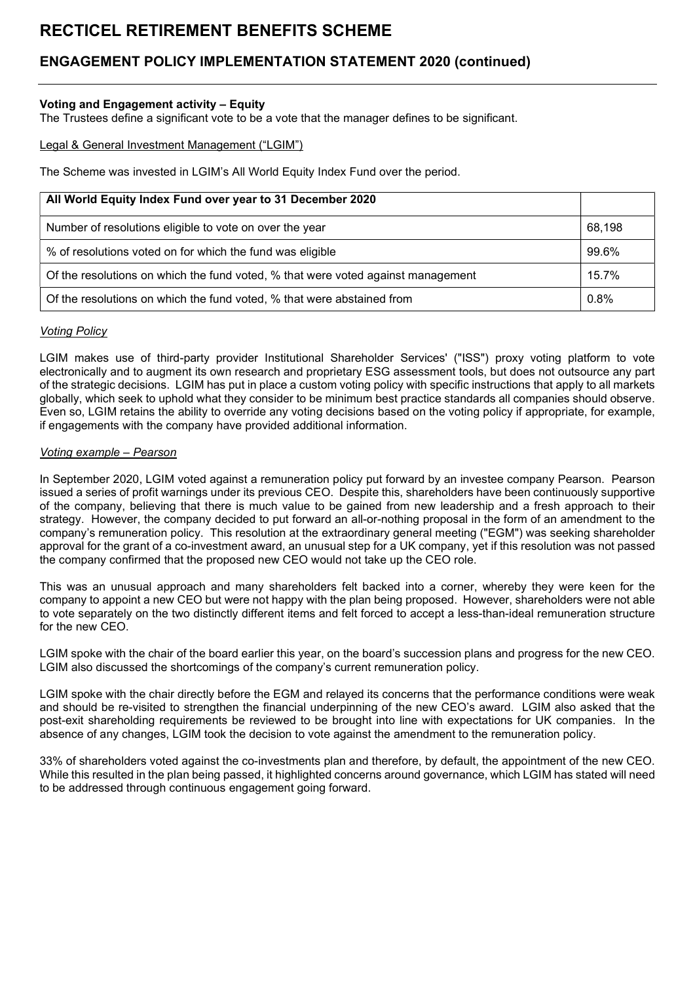# ENGAGEMENT POLICY IMPLEMENTATION STATEMENT 2020 (continued)

## Voting and Engagement activity – Equity

The Trustees define a significant vote to be a vote that the manager defines to be significant.

#### Legal & General Investment Management ("LGIM")

The Scheme was invested in LGIM's All World Equity Index Fund over the period.

| All World Equity Index Fund over year to 31 December 2020                        |        |
|----------------------------------------------------------------------------------|--------|
| Number of resolutions eligible to vote on over the year                          | 68,198 |
| % of resolutions voted on for which the fund was eligible                        | 99.6%  |
| Of the resolutions on which the fund voted, % that were voted against management | 15.7%  |
| Of the resolutions on which the fund voted, % that were abstained from           | 0.8%   |

### Voting Policy

LGIM makes use of third-party provider Institutional Shareholder Services' ("ISS") proxy voting platform to vote electronically and to augment its own research and proprietary ESG assessment tools, but does not outsource any part of the strategic decisions. LGIM has put in place a custom voting policy with specific instructions that apply to all markets globally, which seek to uphold what they consider to be minimum best practice standards all companies should observe. Even so, LGIM retains the ability to override any voting decisions based on the voting policy if appropriate, for example, if engagements with the company have provided additional information.

### Voting example – Pearson

In September 2020, LGIM voted against a remuneration policy put forward by an investee company Pearson. Pearson issued a series of profit warnings under its previous CEO. Despite this, shareholders have been continuously supportive of the company, believing that there is much value to be gained from new leadership and a fresh approach to their strategy. However, the company decided to put forward an all-or-nothing proposal in the form of an amendment to the company's remuneration policy. This resolution at the extraordinary general meeting ("EGM") was seeking shareholder approval for the grant of a co-investment award, an unusual step for a UK company, yet if this resolution was not passed the company confirmed that the proposed new CEO would not take up the CEO role.

This was an unusual approach and many shareholders felt backed into a corner, whereby they were keen for the company to appoint a new CEO but were not happy with the plan being proposed. However, shareholders were not able to vote separately on the two distinctly different items and felt forced to accept a less-than-ideal remuneration structure for the new CEO.

LGIM spoke with the chair of the board earlier this year, on the board's succession plans and progress for the new CEO. LGIM also discussed the shortcomings of the company's current remuneration policy.

LGIM spoke with the chair directly before the EGM and relayed its concerns that the performance conditions were weak and should be re-visited to strengthen the financial underpinning of the new CEO's award. LGIM also asked that the post-exit shareholding requirements be reviewed to be brought into line with expectations for UK companies. In the absence of any changes, LGIM took the decision to vote against the amendment to the remuneration policy.

33% of shareholders voted against the co-investments plan and therefore, by default, the appointment of the new CEO. While this resulted in the plan being passed, it highlighted concerns around governance, which LGIM has stated will need to be addressed through continuous engagement going forward.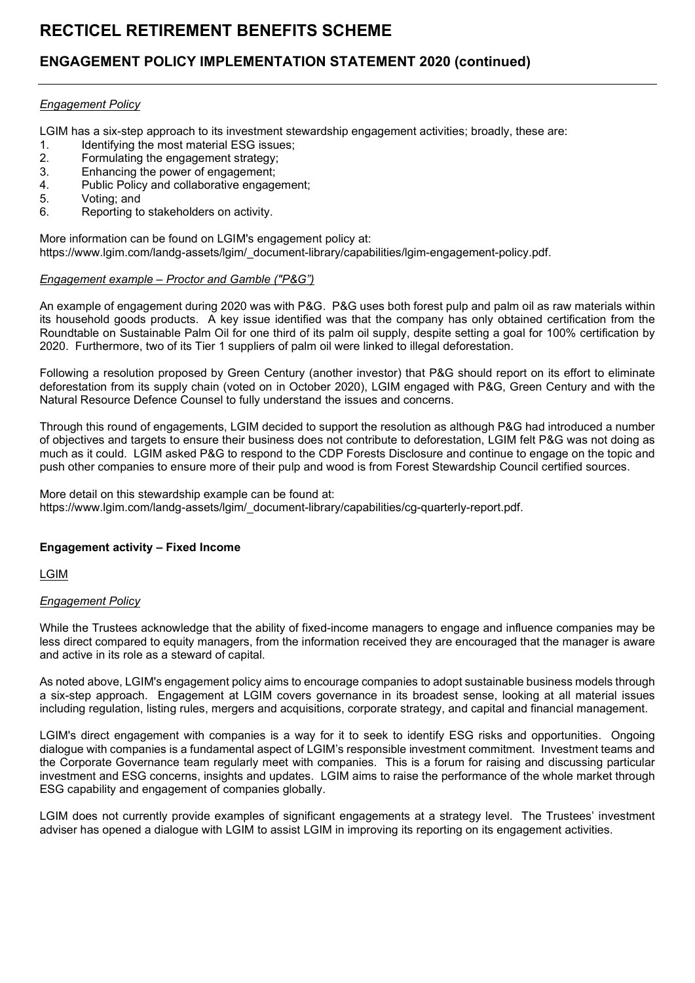# ENGAGEMENT POLICY IMPLEMENTATION STATEMENT 2020 (continued)

### Engagement Policy

LGIM has a six-step approach to its investment stewardship engagement activities; broadly, these are:

- 1. Identifying the most material ESG issues;
- 2. Formulating the engagement strategy;
- 3. Enhancing the power of engagement;<br>4 Public Policy and collaborative engage
- Public Policy and collaborative engagement;
- 5. Voting; and
- 6. Reporting to stakeholders on activity.

More information can be found on LGIM's engagement policy at: https://www.lgim.com/landg-assets/lgim/\_document-library/capabilities/lgim-engagement-policy.pdf.

### Engagement example – Proctor and Gamble ("P&G")

An example of engagement during 2020 was with P&G. P&G uses both forest pulp and palm oil as raw materials within its household goods products. A key issue identified was that the company has only obtained certification from the Roundtable on Sustainable Palm Oil for one third of its palm oil supply, despite setting a goal for 100% certification by 2020. Furthermore, two of its Tier 1 suppliers of palm oil were linked to illegal deforestation.

Following a resolution proposed by Green Century (another investor) that P&G should report on its effort to eliminate deforestation from its supply chain (voted on in October 2020), LGIM engaged with P&G, Green Century and with the Natural Resource Defence Counsel to fully understand the issues and concerns.

Through this round of engagements, LGIM decided to support the resolution as although P&G had introduced a number of objectives and targets to ensure their business does not contribute to deforestation, LGIM felt P&G was not doing as much as it could. LGIM asked P&G to respond to the CDP Forests Disclosure and continue to engage on the topic and push other companies to ensure more of their pulp and wood is from Forest Stewardship Council certified sources.

More detail on this stewardship example can be found at: https://www.lgim.com/landg-assets/lgim/\_document-library/capabilities/cg-quarterly-report.pdf.

## Engagement activity – Fixed Income

LGIM

## Engagement Policy

While the Trustees acknowledge that the ability of fixed-income managers to engage and influence companies may be less direct compared to equity managers, from the information received they are encouraged that the manager is aware and active in its role as a steward of capital.

As noted above, LGIM's engagement policy aims to encourage companies to adopt sustainable business models through a six-step approach. Engagement at LGIM covers governance in its broadest sense, looking at all material issues including regulation, listing rules, mergers and acquisitions, corporate strategy, and capital and financial management.

LGIM's direct engagement with companies is a way for it to seek to identify ESG risks and opportunities. Ongoing dialogue with companies is a fundamental aspect of LGIM's responsible investment commitment. Investment teams and the Corporate Governance team regularly meet with companies. This is a forum for raising and discussing particular investment and ESG concerns, insights and updates. LGIM aims to raise the performance of the whole market through ESG capability and engagement of companies globally.

LGIM does not currently provide examples of significant engagements at a strategy level. The Trustees' investment adviser has opened a dialogue with LGIM to assist LGIM in improving its reporting on its engagement activities.